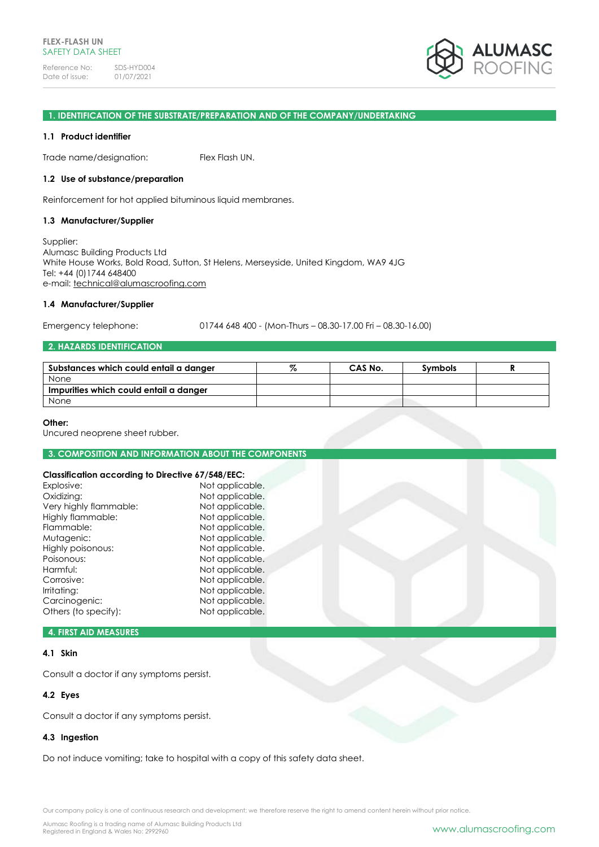Reference No: SDS-HYD004<br>Date of issue: 01/07/2021 Date of issue:



## **1. IDENTIFICATION OF THE SUBSTRATE/PREPARATION AND OF THE COMPANY/UNDERTAKING**

#### **1.1 Product identifier**

Trade name/designation: Flex Flash UN.

#### **1.2 Use of substance/preparation**

Reinforcement for hot applied bituminous liquid membranes.

#### **1.3 Manufacturer/Supplier**

Supplier: Alumasc Building Products Ltd White House Works, Bold Road, Sutton, St Helens, Merseyside, United Kingdom, WA9 4JG Tel: +44 (0)1744 648400 e-mail: [technical@alumascroofing.com](mailto:technical@alumascroofing.com)

#### **1.4 Manufacturer/Supplier**

Emergency telephone: 01744 648 400 - (Mon-Thurs – 08.30-17.00 Fri – 08.30-16.00)

## **2. HAZARDS IDENTIFICATION**

| Substances which could entail a danger | 07 | CAS No. | <b>Symbols</b> |  |
|----------------------------------------|----|---------|----------------|--|
| None                                   |    |         |                |  |
| Impurities which could entail a danger |    |         |                |  |
| None                                   |    |         |                |  |

#### **Other:**

Uncured neoprene sheet rubber.

#### **3. COMPOSITION AND INFORMATION ABOUT THE COMPONENTS**

| <b>Classification according to Directive 67/548/EEC:</b> |                 |  |  |
|----------------------------------------------------------|-----------------|--|--|
| Explosive:                                               | Not applicable. |  |  |
| Oxidizing:                                               | Not applicable. |  |  |
| Very highly flammable:                                   | Not applicable. |  |  |
| Highly flammable:                                        | Not applicable. |  |  |
| Flammable:                                               | Not applicable. |  |  |
| Mutagenic:                                               | Not applicable. |  |  |
| Highly poisonous:                                        | Not applicable. |  |  |
| Poisonous:                                               | Not applicable. |  |  |
| Harmful:                                                 | Not applicable. |  |  |
| Corrosive:                                               | Not applicable. |  |  |
| Irritating:                                              | Not applicable. |  |  |
| Carcinogenic:                                            | Not applicable. |  |  |
| Others (to specify):                                     | Not applicable. |  |  |
|                                                          |                 |  |  |

# **4. FIRST AID MEASURES**

## **4.1 Skin**

Consult a doctor if any symptoms persist.

## **4.2 Eyes**

Consult a doctor if any symptoms persist.

## **4.3 Ingestion**

Do not induce vomiting; take to hospital with a copy of this safety data sheet.

Our company policy is one of continuous research and development; we therefore reserve the right to amend content herein without prior notice.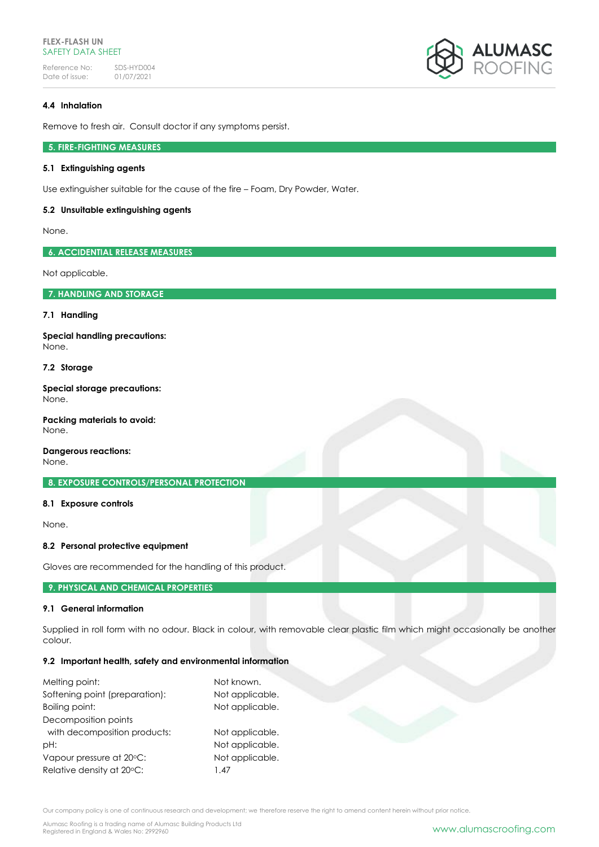## **FLEX-FLASH UN** SAFETY DATA SHEET

Reference No: SDS-HYD004<br>Date of issue: 01/07/2021 Date of issue:



# **4.4 Inhalation**

Remove to fresh air. Consult doctor if any symptoms persist.

# **5. FIRE-FIGHTING MEASURES**

## **5.1 Extinguishing agents**

Use extinguisher suitable for the cause of the fire – Foam, Dry Powder, Water.

#### **5.2 Unsuitable extinguishing agents**

None.

**6. ACCIDENTIAL RELEASE MEASURES**

Not applicable.

**7. HANDLING AND STORAGE**

#### **7.1 Handling**

**Special handling precautions:** None.

## **7.2 Storage**

**Special storage precautions:** None.

**Packing materials to avoid:** None.

**Dangerous reactions:**

None.

**8. EXPOSURE CONTROLS/PERSONAL PROTECTION**

# **8.1 Exposure controls**

None.

# **8.2 Personal protective equipment**

Gloves are recommended for the handling of this product.

## **9. PHYSICAL AND CHEMICAL PROPERTIES**

## **9.1 General information**

Supplied in roll form with no odour. Black in colour, with removable clear plastic film which might occasionally be another colour.

#### **9.2 Important health, safety and environmental information**

| Melting point:                 | Not known.      |  |  |
|--------------------------------|-----------------|--|--|
| Softening point (preparation): | Not applicable. |  |  |
| Boiling point:                 | Not applicable. |  |  |
| Decomposition points           |                 |  |  |
| with decomposition products:   | Not applicable. |  |  |
| pH:                            | Not applicable. |  |  |
| Vapour pressure at 20°C:       | Not applicable. |  |  |
| Relative density at 20°C:      | 1.47            |  |  |

Our company policy is one of continuous research and development; we therefore reserve the right to amend content herein without prior notice.

Alumasc Roofing is a trading name of Alumasc Building Products Ltd